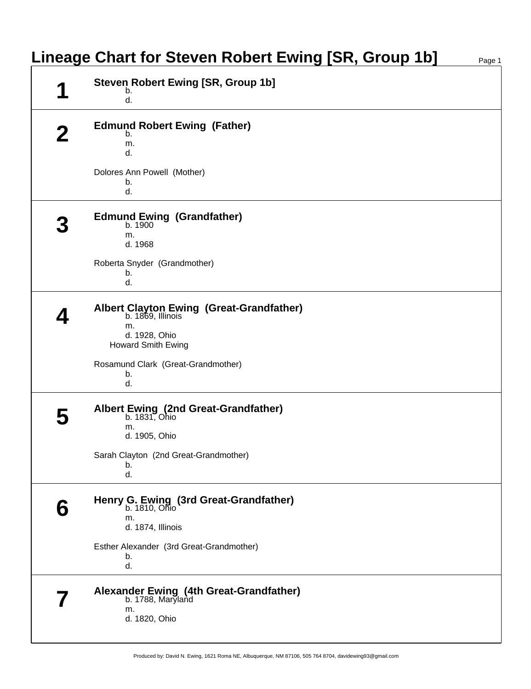|  | <b>Steven Robert Ewing [SR, Group 1b]</b><br>b.                      |  |
|--|----------------------------------------------------------------------|--|
|  | d.                                                                   |  |
|  | <b>Edmund Robert Ewing (Father)</b>                                  |  |
|  | b.<br>m.                                                             |  |
|  | d.                                                                   |  |
|  | Dolores Ann Powell (Mother)                                          |  |
|  | b.<br>d.                                                             |  |
|  | <b>Edmund Ewing (Grandfather)</b>                                    |  |
|  | b. 1900<br>m.                                                        |  |
|  | d. 1968                                                              |  |
|  | Roberta Snyder (Grandmother)                                         |  |
|  | b.<br>d.                                                             |  |
|  |                                                                      |  |
|  | <b>Albert Clayton Ewing (Great-Grandfather)</b><br>b. 1869, Illinois |  |
|  | m.<br>d. 1928, Ohio                                                  |  |
|  | Howard Smith Ewing                                                   |  |
|  | Rosamund Clark (Great-Grandmother)                                   |  |
|  | b.<br>d.                                                             |  |
|  |                                                                      |  |
|  | Albert Ewing (2nd Great-Grandfather)<br>b. 1831, Ohio                |  |
|  | m.                                                                   |  |
|  | d. 1905, Ohio                                                        |  |
|  | Sarah Clayton (2nd Great-Grandmother)<br>b.                          |  |
|  | d.                                                                   |  |
|  | Henry G. Ewing (3rd Great-Grandfather)<br>b. 1810, Ohio              |  |
|  | m.                                                                   |  |
|  | d. 1874, Illinois                                                    |  |
|  | Esther Alexander (3rd Great-Grandmother)                             |  |
|  | b.<br>d.                                                             |  |
|  |                                                                      |  |
|  | Alexander Ewing (4th Great-Grandfather)<br>b. 1788, Maryland         |  |
|  | m.<br>d. 1820, Ohio                                                  |  |